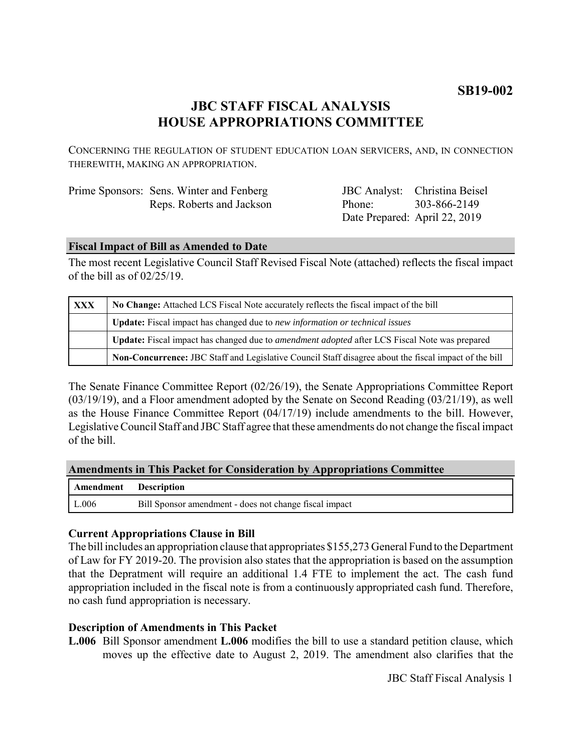# **SB19-002**

# **JBC STAFF FISCAL ANALYSIS HOUSE APPROPRIATIONS COMMITTEE**

CONCERNING THE REGULATION OF STUDENT EDUCATION LOAN SERVICERS, AND, IN CONNECTION THEREWITH, MAKING AN APPROPRIATION.

|  | Prime Sponsors: Sens. Winter and Fenberg |
|--|------------------------------------------|
|  | Reps. Roberts and Jackson                |

JBC Analyst: Christina Beisel Phone: Date Prepared: April 22, 2019 303-866-2149

#### **Fiscal Impact of Bill as Amended to Date**

The most recent Legislative Council Staff Revised Fiscal Note (attached) reflects the fiscal impact of the bill as of 02/25/19.

| <b>XXX</b> | No Change: Attached LCS Fiscal Note accurately reflects the fiscal impact of the bill                 |  |
|------------|-------------------------------------------------------------------------------------------------------|--|
|            | <b>Update:</b> Fiscal impact has changed due to new information or technical issues                   |  |
|            | Update: Fiscal impact has changed due to <i>amendment adopted</i> after LCS Fiscal Note was prepared  |  |
|            | Non-Concurrence: JBC Staff and Legislative Council Staff disagree about the fiscal impact of the bill |  |

The Senate Finance Committee Report (02/26/19), the Senate Appropriations Committee Report (03/19/19), and a Floor amendment adopted by the Senate on Second Reading (03/21/19), as well as the House Finance Committee Report (04/17/19) include amendments to the bill. However, Legislative Council Staff and JBC Staff agree that these amendments do not change the fiscal impact of the bill.

#### **Amendments in This Packet for Consideration by Appropriations Committee**

| Amendment Description |                                                        |
|-----------------------|--------------------------------------------------------|
| L.006                 | Bill Sponsor amendment - does not change fiscal impact |

### **Current Appropriations Clause in Bill**

The bill includes an appropriation clause that appropriates \$155,273 General Fund to the Department of Law for FY 2019-20. The provision also states that the appropriation is based on the assumption that the Depratment will require an additional 1.4 FTE to implement the act. The cash fund appropriation included in the fiscal note is from a continuously appropriated cash fund. Therefore, no cash fund appropriation is necessary.

### **Description of Amendments in This Packet**

**L.006** Bill Sponsor amendment **L.006** modifies the bill to use a standard petition clause, which moves up the effective date to August 2, 2019. The amendment also clarifies that the